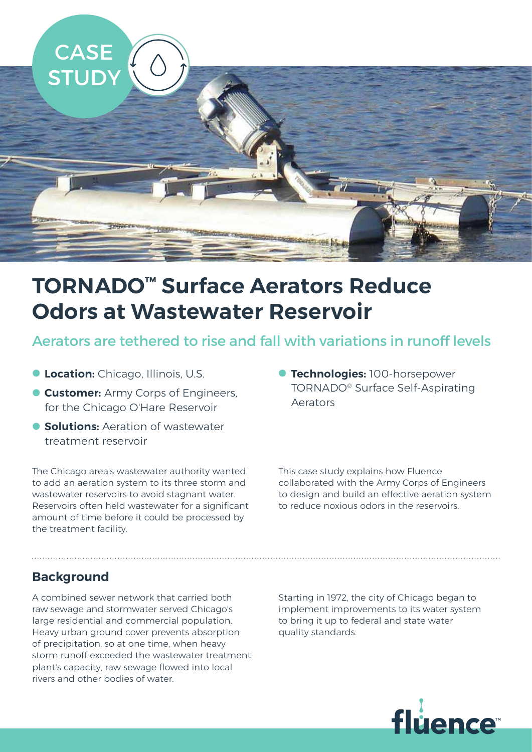

# **TORNADO™ Surface Aerators Reduce Odors at Wastewater Reservoir**

Aerators are tethered to rise and fall with variations in runoff levels

- **Location:** Chicago, Illinois, U.S.
- **Customer:** Army Corps of Engineers, for the Chicago O'Hare Reservoir
- **Solutions:** Aeration of wastewater treatment reservoir

The Chicago area's wastewater authority wanted to add an aeration system to its three storm and wastewater reservoirs to avoid stagnant water. Reservoirs often held wastewater for a significant amount of time before it could be processed by the treatment facility.

• **Technologies:** 100-horsepower TORNADO® Surface Self-Aspirating Aerators

This case study explains how Fluence collaborated with the Army Corps of Engineers to design and build an effective aeration system to reduce noxious odors in the reservoirs.

# **Background**

A combined sewer network that carried both raw sewage and stormwater served Chicago's large residential and commercial population. Heavy urban ground cover prevents absorption of precipitation, so at one time, when heavy storm runoff exceeded the wastewater treatment plant's capacity, raw sewage flowed into local rivers and other bodies of water.

Starting in 1972, the city of Chicago began to implement improvements to its water system to bring it up to federal and state water quality standards.